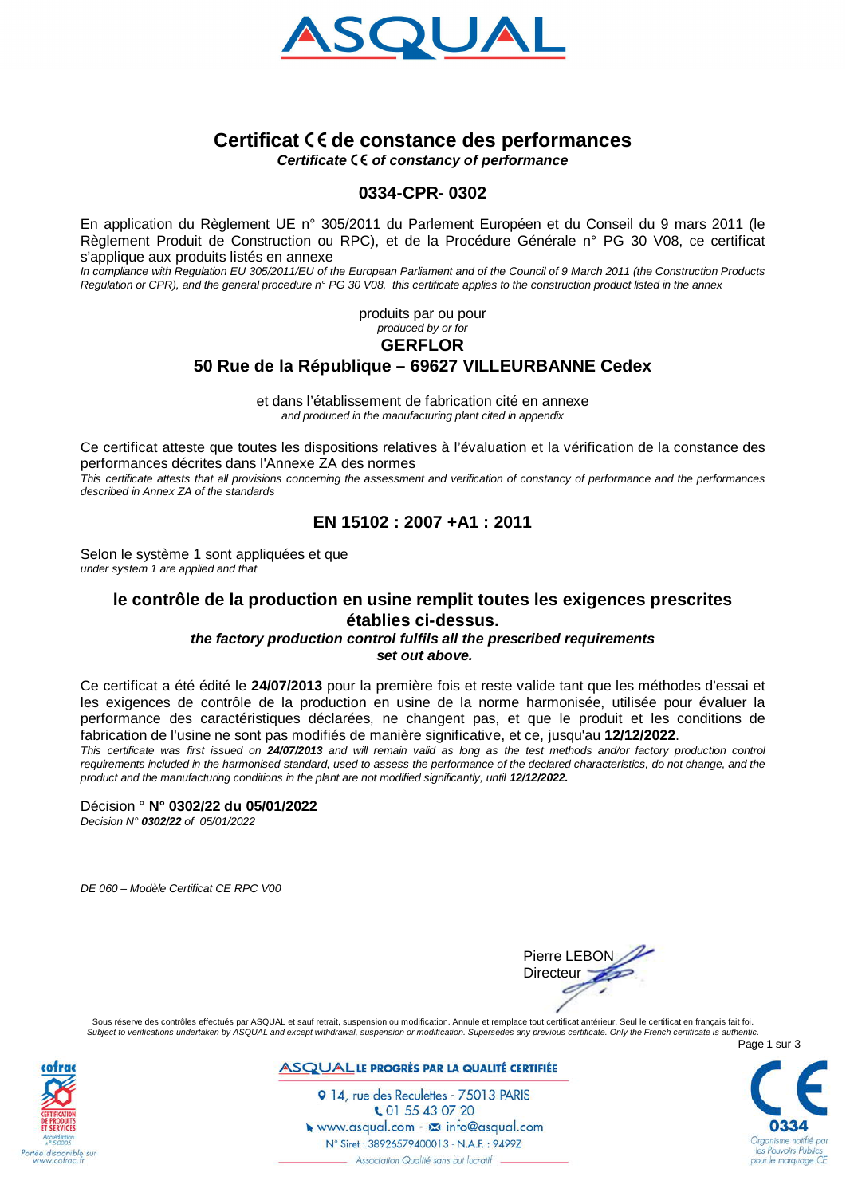

# **Certificat de constance des performances**

*Certificate of constancy of performance*

### **0334-CPR- 0302**

En application du Règlement UE n° 305/2011 du Parlement Européen et du Conseil du 9 mars 2011 (le Règlement Produit de Construction ou RPC), et de la Procédure Générale n° PG 30 V08, ce certificat s'applique aux produits listés en annexe

*In compliance with Regulation EU 305/2011/EU of the European Parliament and of the Council of 9 March 2011 (the Construction Products Regulation or CPR), and the general procedure n° PG 30 V08, this certificate applies to the construction product listed in the annex*

> produits par ou pour *produced by or for*

#### **GERFLOR**

# **50 Rue de la République – 69627 VILLEURBANNE Cedex**

et dans l'établissement de fabrication cité en annexe *and produced in the manufacturing plant cited in appendix*

Ce certificat atteste que toutes les dispositions relatives à l'évaluation et la vérification de la constance des performances décrites dans l'Annexe ZA des normes *This certificate attests that all provisions concerning the assessment and verification of constancy of performance and the performances described in Annex ZA of the standards*

# **EN 15102 : 2007 +A1 : 2011**

Selon le système 1 sont appliquées et que *under system 1 are applied and that*

### **le contrôle de la production en usine remplit toutes les exigences prescrites établies ci-dessus.** *the factory production control fulfils all the prescribed requirements*

 *set out above.*

Ce certificat a été édité le **24/07/2013** pour la première fois et reste valide tant que les méthodes d'essai et les exigences de contrôle de la production en usine de la norme harmonisée, utilisée pour évaluer la performance des caractéristiques déclarées, ne changent pas, et que le produit et les conditions de fabrication de l'usine ne sont pas modifiés de manière significative, et ce, jusqu'au **12/12/2022**.

*This certificate was first issued on 24/07/2013 and will remain valid as long as the test methods and/or factory production control requirements included in the harmonised standard, used to assess the performance of the declared characteristics, do not change, and the product and the manufacturing conditions in the plant are not modified significantly, until 12/12/2022.*

Décision ° **N° 0302/22 du 05/01/2022** *Decision N° 0302/22 of 05/01/2022*

*DE 060 – Modèle Certificat CE RPC V00*



Sous réserve des contrôles effectués par ASQUAL et sauf retrait, suspension ou modification. Annule et remplace tout certificat antérieur. Seul le certificat en français fait foi. *Subject to verifications undertaken by ASQUAL and except withdrawal, suspension or modification. Supersedes any previous certificate. Only the French certificate is authentic.*



**ASQUALLE PROGRÈS PAR LA QUALITÉ CERTIFIÉE** 

Page 1 sur 3 les Pouvoirs Publi our le marquage CE

9 14, rue des Reculettes - 75013 PARIS € 01 55 43 07 20 Newww.asqual.com - Maxinfo@asqual.com N° Siret: 38926579400013 - N.A.F.: 9499Z - Association Qualité sans but lucratif